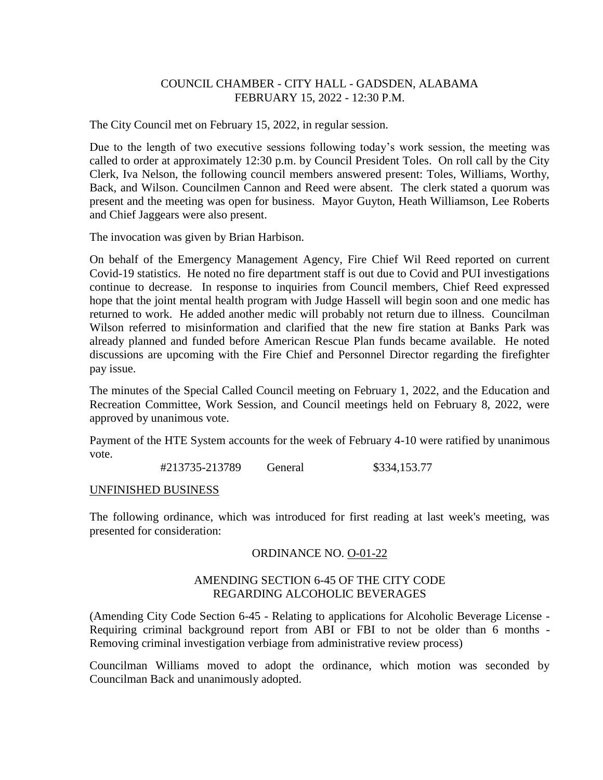# COUNCIL CHAMBER - CITY HALL - GADSDEN, ALABAMA FEBRUARY 15, 2022 - 12:30 P.M.

The City Council met on February 15, 2022, in regular session.

Due to the length of two executive sessions following today's work session, the meeting was called to order at approximately 12:30 p.m. by Council President Toles. On roll call by the City Clerk, Iva Nelson, the following council members answered present: Toles, Williams, Worthy, Back, and Wilson. Councilmen Cannon and Reed were absent. The clerk stated a quorum was present and the meeting was open for business. Mayor Guyton, Heath Williamson, Lee Roberts and Chief Jaggears were also present.

The invocation was given by Brian Harbison.

On behalf of the Emergency Management Agency, Fire Chief Wil Reed reported on current Covid-19 statistics. He noted no fire department staff is out due to Covid and PUI investigations continue to decrease. In response to inquiries from Council members, Chief Reed expressed hope that the joint mental health program with Judge Hassell will begin soon and one medic has returned to work. He added another medic will probably not return due to illness. Councilman Wilson referred to misinformation and clarified that the new fire station at Banks Park was already planned and funded before American Rescue Plan funds became available. He noted discussions are upcoming with the Fire Chief and Personnel Director regarding the firefighter pay issue.

The minutes of the Special Called Council meeting on February 1, 2022, and the Education and Recreation Committee, Work Session, and Council meetings held on February 8, 2022, were approved by unanimous vote.

Payment of the HTE System accounts for the week of February 4-10 were ratified by unanimous vote.

#213735-213789 General \$334,153.77

#### UNFINISHED BUSINESS

The following ordinance, which was introduced for first reading at last week's meeting, was presented for consideration:

# ORDINANCE NO. O-01-22

# AMENDING SECTION 6-45 OF THE CITY CODE REGARDING ALCOHOLIC BEVERAGES

(Amending City Code Section 6-45 - Relating to applications for Alcoholic Beverage License - Requiring criminal background report from ABI or FBI to not be older than 6 months - Removing criminal investigation verbiage from administrative review process)

Councilman Williams moved to adopt the ordinance, which motion was seconded by Councilman Back and unanimously adopted.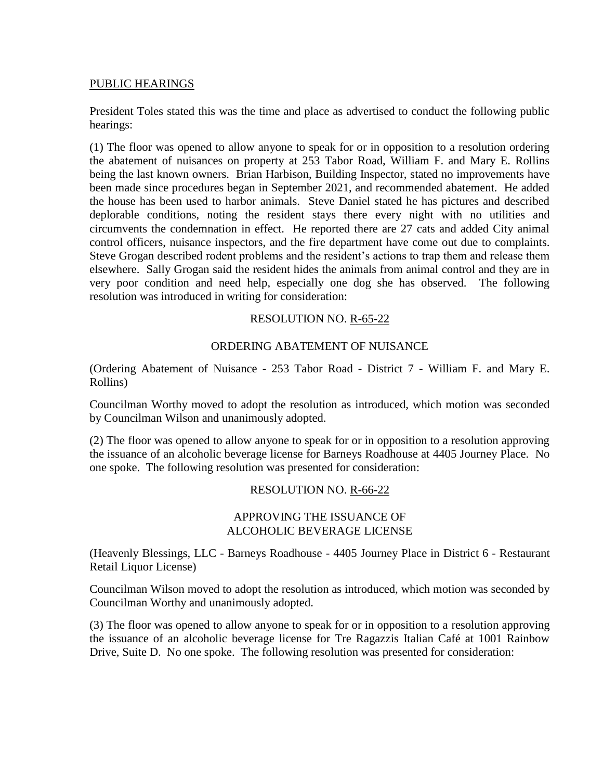#### PUBLIC HEARINGS

President Toles stated this was the time and place as advertised to conduct the following public hearings:

(1) The floor was opened to allow anyone to speak for or in opposition to a resolution ordering the abatement of nuisances on property at 253 Tabor Road, William F. and Mary E. Rollins being the last known owners. Brian Harbison, Building Inspector, stated no improvements have been made since procedures began in September 2021, and recommended abatement. He added the house has been used to harbor animals. Steve Daniel stated he has pictures and described deplorable conditions, noting the resident stays there every night with no utilities and circumvents the condemnation in effect. He reported there are 27 cats and added City animal control officers, nuisance inspectors, and the fire department have come out due to complaints. Steve Grogan described rodent problems and the resident's actions to trap them and release them elsewhere. Sally Grogan said the resident hides the animals from animal control and they are in very poor condition and need help, especially one dog she has observed. The following resolution was introduced in writing for consideration:

## RESOLUTION NO. R-65-22

## ORDERING ABATEMENT OF NUISANCE

(Ordering Abatement of Nuisance - 253 Tabor Road - District 7 - William F. and Mary E. Rollins)

Councilman Worthy moved to adopt the resolution as introduced, which motion was seconded by Councilman Wilson and unanimously adopted.

(2) The floor was opened to allow anyone to speak for or in opposition to a resolution approving the issuance of an alcoholic beverage license for Barneys Roadhouse at 4405 Journey Place. No one spoke. The following resolution was presented for consideration:

## RESOLUTION NO. R-66-22

## APPROVING THE ISSUANCE OF ALCOHOLIC BEVERAGE LICENSE

(Heavenly Blessings, LLC - Barneys Roadhouse - 4405 Journey Place in District 6 - Restaurant Retail Liquor License)

Councilman Wilson moved to adopt the resolution as introduced, which motion was seconded by Councilman Worthy and unanimously adopted.

(3) The floor was opened to allow anyone to speak for or in opposition to a resolution approving the issuance of an alcoholic beverage license for Tre Ragazzis Italian Café at 1001 Rainbow Drive, Suite D. No one spoke. The following resolution was presented for consideration: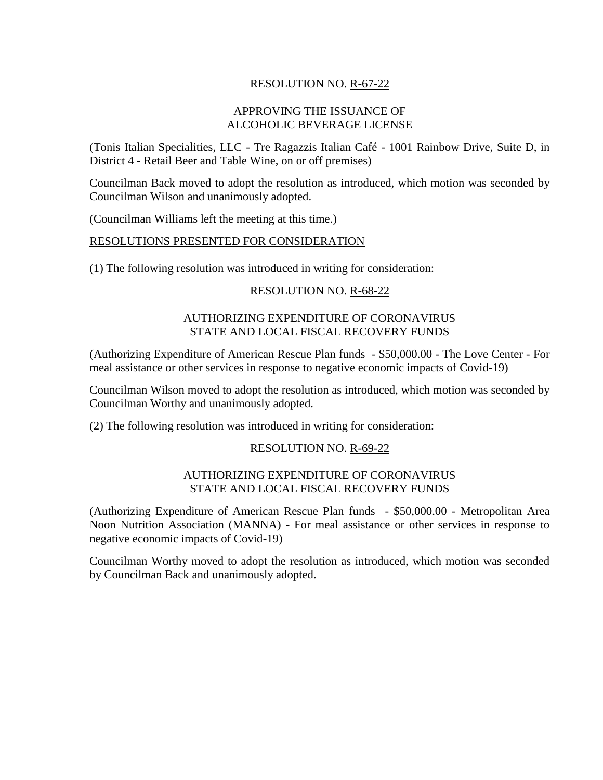# RESOLUTION NO. R-67-22

## APPROVING THE ISSUANCE OF ALCOHOLIC BEVERAGE LICENSE

(Tonis Italian Specialities, LLC - Tre Ragazzis Italian Café - 1001 Rainbow Drive, Suite D, in District 4 - Retail Beer and Table Wine, on or off premises)

Councilman Back moved to adopt the resolution as introduced, which motion was seconded by Councilman Wilson and unanimously adopted.

(Councilman Williams left the meeting at this time.)

#### RESOLUTIONS PRESENTED FOR CONSIDERATION

(1) The following resolution was introduced in writing for consideration:

#### RESOLUTION NO. R-68-22

#### AUTHORIZING EXPENDITURE OF CORONAVIRUS STATE AND LOCAL FISCAL RECOVERY FUNDS

(Authorizing Expenditure of American Rescue Plan funds - \$50,000.00 - The Love Center - For meal assistance or other services in response to negative economic impacts of Covid-19)

Councilman Wilson moved to adopt the resolution as introduced, which motion was seconded by Councilman Worthy and unanimously adopted.

(2) The following resolution was introduced in writing for consideration:

#### RESOLUTION NO. R-69-22

#### AUTHORIZING EXPENDITURE OF CORONAVIRUS STATE AND LOCAL FISCAL RECOVERY FUNDS

(Authorizing Expenditure of American Rescue Plan funds - \$50,000.00 - Metropolitan Area Noon Nutrition Association (MANNA) - For meal assistance or other services in response to negative economic impacts of Covid-19)

Councilman Worthy moved to adopt the resolution as introduced, which motion was seconded by Councilman Back and unanimously adopted.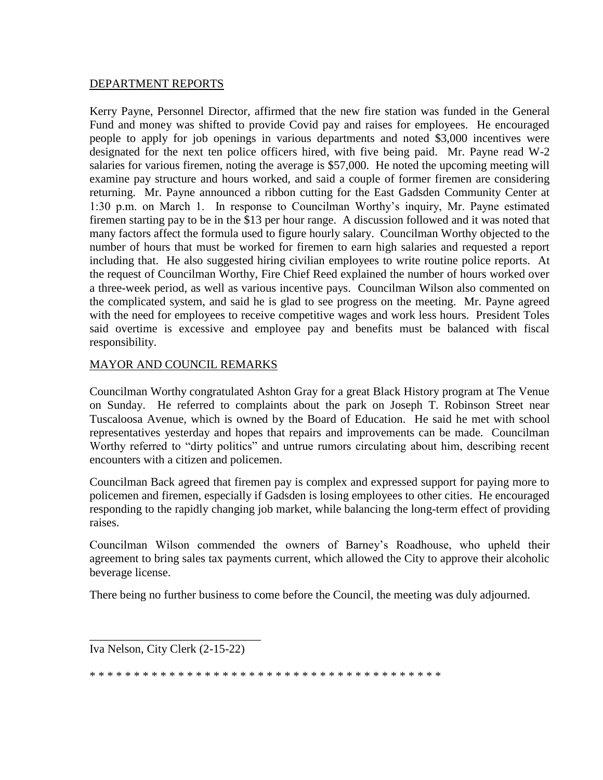# DEPARTMENT REPORTS

Kerry Payne, Personnel Director, affirmed that the new fire station was funded in the General Fund and money was shifted to provide Covid pay and raises for employees. He encouraged people to apply for job openings in various departments and noted \$3,000 incentives were designated for the next ten police officers hired, with five being paid. Mr. Payne read W-2 salaries for various firemen, noting the average is \$57,000. He noted the upcoming meeting will examine pay structure and hours worked, and said a couple of former firemen are considering returning. Mr. Payne announced a ribbon cutting for the East Gadsden Community Center at 1:30 p.m. on March 1. In response to Councilman Worthy's inquiry, Mr. Payne estimated firemen starting pay to be in the \$13 per hour range. A discussion followed and it was noted that many factors affect the formula used to figure hourly salary. Councilman Worthy objected to the number of hours that must be worked for firemen to earn high salaries and requested a report including that. He also suggested hiring civilian employees to write routine police reports. At the request of Councilman Worthy, Fire Chief Reed explained the number of hours worked over a three-week period, as well as various incentive pays. Councilman Wilson also commented on the complicated system, and said he is glad to see progress on the meeting. Mr. Payne agreed with the need for employees to receive competitive wages and work less hours. President Toles said overtime is excessive and employee pay and benefits must be balanced with fiscal responsibility.

## MAYOR AND COUNCIL REMARKS

Councilman Worthy congratulated Ashton Gray for a great Black History program at The Venue on Sunday. He referred to complaints about the park on Joseph T. Robinson Street near Tuscaloosa Avenue, which is owned by the Board of Education. He said he met with school representatives yesterday and hopes that repairs and improvements can be made. Councilman Worthy referred to "dirty politics" and untrue rumors circulating about him, describing recent encounters with a citizen and policemen.

Councilman Back agreed that firemen pay is complex and expressed support for paying more to policemen and firemen, especially if Gadsden is losing employees to other cities. He encouraged responding to the rapidly changing job market, while balancing the long-term effect of providing raises.

Councilman Wilson commended the owners of Barney's Roadhouse, who upheld their agreement to bring sales tax payments current, which allowed the City to approve their alcoholic beverage license.

There being no further business to come before the Council, the meeting was duly adjourned.

\_\_\_\_\_\_\_\_\_\_\_\_\_\_\_\_\_\_\_\_\_\_\_\_\_\_\_\_\_ Iva Nelson, City Clerk (2-15-22)